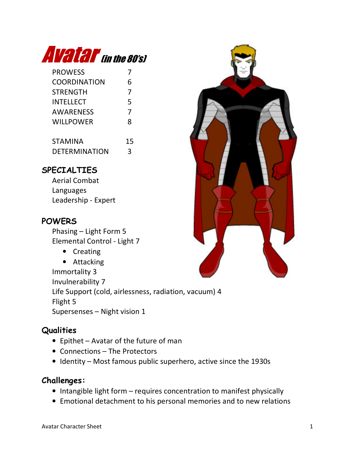

| <b>PROWESS</b>      | 7 |
|---------------------|---|
| <b>COORDINATION</b> | 6 |
| <b>STRENGTH</b>     | 7 |
| <b>INTELLECT</b>    | 5 |
| <b>AWARENESS</b>    | 7 |
| <b>WILLPOWER</b>    | 8 |
|                     |   |
| . . <i>.</i>        |   |

| <b>STAMINA</b>       | 15 |
|----------------------|----|
| <b>DETERMINATION</b> |    |

## SPECIALTIES

Aerial Combat Languages Leadership - Expert

## **POWERS**

Phasing – Light Form 5 Elemental Control - Light 7

• Creating

• Attacking Immortality 3 Invulnerability 7 Life Support (cold, airlessness, radiation, vacuum) 4 Flight 5 Supersenses – Night vision 1

## **Qualities**

- Epithet Avatar of the future of man
- Connections The Protectors
- Identity Most famous public superhero, active since the 1930s

## Challenges:

- Intangible light form requires concentration to manifest physically
- Emotional detachment to his personal memories and to new relations